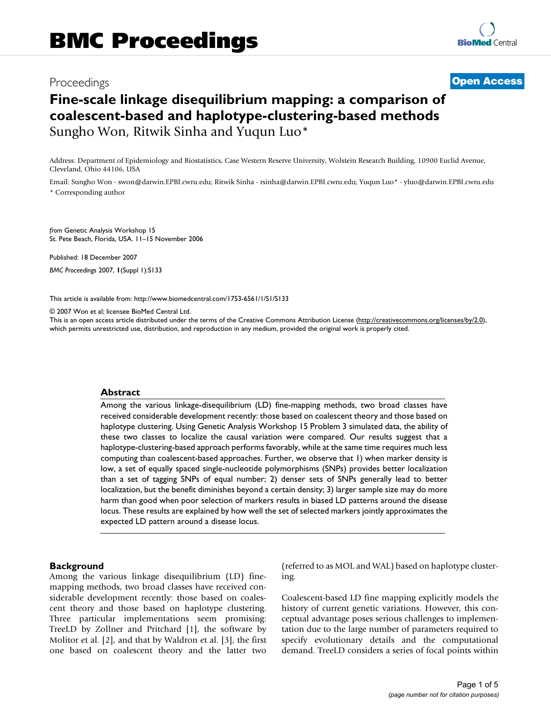# Proceedings **[Open Access](http://www.biomedcentral.com/info/about/charter/)**

# **Fine-scale linkage disequilibrium mapping: a comparison of coalescent-based and haplotype-clustering-based methods** Sungho Won, Ritwik Sinha and Yuqun Luo\*

Address: Department of Epidemiology and Biostatistics, Case Western Reserve University, Wolstein Research Building, 10900 Euclid Avenue, Cleveland, Ohio 44106, USA

Email: Sungho Won - swon@darwin.EPBI.cwru.edu; Ritwik Sinha - rsinha@darwin.EPBI.cwru.edu; Yuqun Luo\* - yluo@darwin.EPBI.cwru.edu \* Corresponding author

*from* Genetic Analysis Workshop 15 St. Pete Beach, Florida, USA. 11–15 November 2006

Published: 18 December 2007 *BMC Proceedings* 2007, **1**(Suppl 1):S133

[This article is available from: http://www.biomedcentral.com/1753-6561/1/S1/S133](http://www.biomedcentral.com/1753-6561/1/S1/S133)

© 2007 Won et al; licensee BioMed Central Ltd.

This is an open access article distributed under the terms of the Creative Commons Attribution License [\(http://creativecommons.org/licenses/by/2.0\)](http://creativecommons.org/licenses/by/2.0), which permits unrestricted use, distribution, and reproduction in any medium, provided the original work is properly cited.

#### **Abstract**

Among the various linkage-disequilibrium (LD) fine-mapping methods, two broad classes have received considerable development recently: those based on coalescent theory and those based on haplotype clustering. Using Genetic Analysis Workshop 15 Problem 3 simulated data, the ability of these two classes to localize the causal variation were compared. Our results suggest that a haplotype-clustering-based approach performs favorably, while at the same time requires much less computing than coalescent-based approaches. Further, we observe that 1) when marker density is low, a set of equally spaced single-nucleotide polymorphisms (SNPs) provides better localization than a set of tagging SNPs of equal number; 2) denser sets of SNPs generally lead to better localization, but the benefit diminishes beyond a certain density; 3) larger sample size may do more harm than good when poor selection of markers results in biased LD patterns around the disease locus. These results are explained by how well the set of selected markers jointly approximates the expected LD pattern around a disease locus.

#### **Background**

Among the various linkage disequilibrium (LD) finemapping methods, two broad classes have received considerable development recently: those based on coalescent theory and those based on haplotype clustering. Three particular implementations seem promising: TreeLD by Zollner and Pritchard [1], the software by Molitor et al. [2], and that by Waldron et al. [3], the first one based on coalescent theory and the latter two (referred to as MOL and WAL) based on haplotype clustering.

Coalescent-based LD fine mapping explicitly models the history of current genetic variations. However, this conceptual advantage poses serious challenges to implementation due to the large number of parameters required to specify evolutionary details and the computational demand. TreeLD considers a series of focal points within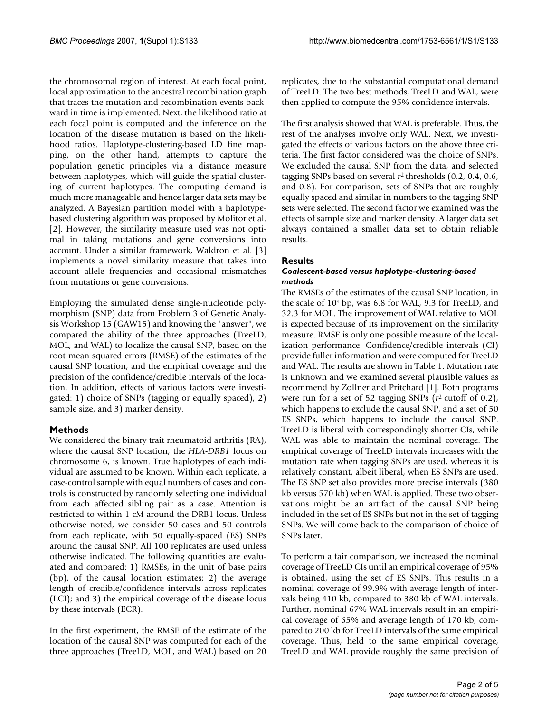the chromosomal region of interest. At each focal point, local approximation to the ancestral recombination graph that traces the mutation and recombination events backward in time is implemented. Next, the likelihood ratio at each focal point is computed and the inference on the location of the disease mutation is based on the likelihood ratios. Haplotype-clustering-based LD fine mapping, on the other hand, attempts to capture the population genetic principles via a distance measure between haplotypes, which will guide the spatial clustering of current haplotypes. The computing demand is much more manageable and hence larger data sets may be analyzed. A Bayesian partition model with a haplotypebased clustering algorithm was proposed by Molitor et al. [2]. However, the similarity measure used was not optimal in taking mutations and gene conversions into account. Under a similar framework, Waldron et al. [3] implements a novel similarity measure that takes into account allele frequencies and occasional mismatches from mutations or gene conversions.

Employing the simulated dense single-nucleotide polymorphism (SNP) data from Problem 3 of Genetic Analysis Workshop 15 (GAW15) and knowing the "answer", we compared the ability of the three approaches (TreeLD, MOL, and WAL) to localize the causal SNP, based on the root mean squared errors (RMSE) of the estimates of the causal SNP location, and the empirical coverage and the precision of the confidence/credible intervals of the location. In addition, effects of various factors were investigated: 1) choice of SNPs (tagging or equally spaced), 2) sample size, and 3) marker density.

# **Methods**

We considered the binary trait rheumatoid arthritis (RA), where the causal SNP location, the *HLA-DRB1* locus on chromosome 6, is known. True haplotypes of each individual are assumed to be known. Within each replicate, a case-control sample with equal numbers of cases and controls is constructed by randomly selecting one individual from each affected sibling pair as a case. Attention is restricted to within 1 cM around the DRB1 locus. Unless otherwise noted, we consider 50 cases and 50 controls from each replicate, with 50 equally-spaced (ES) SNPs around the causal SNP. All 100 replicates are used unless otherwise indicated. The following quantities are evaluated and compared: 1) RMSEs, in the unit of base pairs (bp), of the causal location estimates; 2) the average length of credible/confidence intervals across replicates (LCI); and 3) the empirical coverage of the disease locus by these intervals (ECR).

In the first experiment, the RMSE of the estimate of the location of the causal SNP was computed for each of the three approaches (TreeLD, MOL, and WAL) based on 20

replicates, due to the substantial computational demand of TreeLD. The two best methods, TreeLD and WAL, were then applied to compute the 95% confidence intervals.

The first analysis showed that WAL is preferable. Thus, the rest of the analyses involve only WAL. Next, we investigated the effects of various factors on the above three criteria. The first factor considered was the choice of SNPs. We excluded the causal SNP from the data, and selected tagging SNPs based on several *r*2 thresholds (0.2, 0.4, 0.6, and 0.8). For comparison, sets of SNPs that are roughly equally spaced and similar in numbers to the tagging SNP sets were selected. The second factor we examined was the effects of sample size and marker density. A larger data set always contained a smaller data set to obtain reliable results.

# **Results**

# *Coalescent-based versus haplotype-clustering-based methods*

The RMSEs of the estimates of the causal SNP location, in the scale of 104 bp, was 6.8 for WAL, 9.3 for TreeLD, and 32.3 for MOL. The improvement of WAL relative to MOL is expected because of its improvement on the similarity measure. RMSE is only one possible measure of the localization performance. Confidence/credible intervals (CI) provide fuller information and were computed for TreeLD and WAL. The results are shown in Table 1. Mutation rate is unknown and we examined several plausible values as recommend by Zollner and Pritchard [1]. Both programs were run for a set of 52 tagging SNPs (*r*2 cutoff of 0.2), which happens to exclude the causal SNP, and a set of 50 ES SNPs, which happens to include the causal SNP. TreeLD is liberal with correspondingly shorter CIs, while WAL was able to maintain the nominal coverage. The empirical coverage of TreeLD intervals increases with the mutation rate when tagging SNPs are used, whereas it is relatively constant, albeit liberal, when ES SNPs are used. The ES SNP set also provides more precise intervals (380 kb versus 570 kb) when WAL is applied. These two observations might be an artifact of the causal SNP being included in the set of ES SNPs but not in the set of tagging SNPs. We will come back to the comparison of choice of SNPs later.

To perform a fair comparison, we increased the nominal coverage of TreeLD CIs until an empirical coverage of 95% is obtained, using the set of ES SNPs. This results in a nominal coverage of 99.9% with average length of intervals being 410 kb, compared to 380 kb of WAL intervals. Further, nominal 67% WAL intervals result in an empirical coverage of 65% and average length of 170 kb, compared to 200 kb for TreeLD intervals of the same empirical coverage. Thus, held to the same empirical coverage, TreeLD and WAL provide roughly the same precision of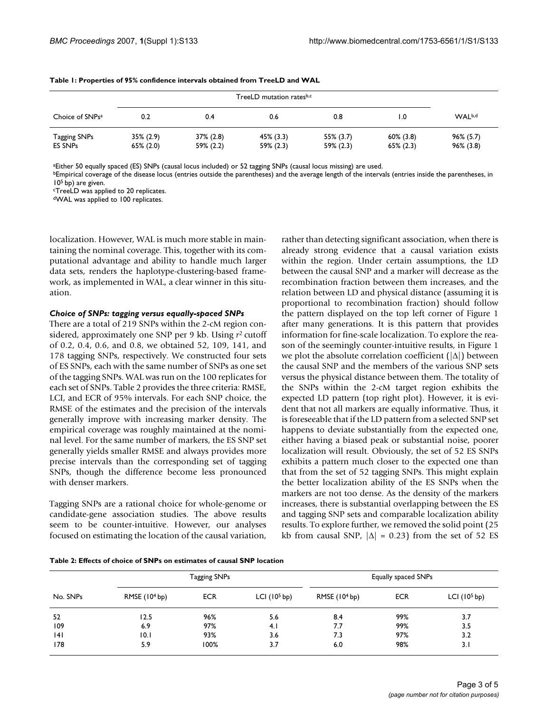| Choice of SNPs <sup>a</sup>           | 0.2                    | 0.4                       | 0.6                       | 0.8                    | 0. ا                        | WAL <sup>b,d</sup>           |
|---------------------------------------|------------------------|---------------------------|---------------------------|------------------------|-----------------------------|------------------------------|
| <b>Tagging SNPs</b><br><b>ES SNPs</b> | 35% (2.9)<br>65% (2.0) | $37\%$ (2.8)<br>59% (2.2) | $45\%$ (3.3)<br>59% (2.3) | 55% (3.7)<br>59% (2.3) | $60\%$ (3.8)<br>$65\%(2.3)$ | $96\% (5.7)$<br>$96\%$ (3.8) |

**Table 1: Properties of 95% confidence intervals obtained from TreeLD and WAL**

aEither 50 equally spaced (ES) SNPs (causal locus included) or 52 tagging SNPs (causal locus missing) are used.

**bEmpirical coverage of the disease locus (entries outside the parentheses) and the average length of the intervals (entries inside the parentheses, in** 105 bp) are given.

cTreeLD was applied to 20 replicates.

dWAL was applied to 100 replicates.

localization. However, WAL is much more stable in maintaining the nominal coverage. This, together with its computational advantage and ability to handle much larger data sets, renders the haplotype-clustering-based framework, as implemented in WAL, a clear winner in this situation.

#### *Choice of SNPs: tagging versus equally-spaced SNPs*

There are a total of 219 SNPs within the 2-cM region considered, approximately one SNP per 9 kb. Using *r*2 cutoff of 0.2, 0.4, 0.6, and 0.8, we obtained 52, 109, 141, and 178 tagging SNPs, respectively. We constructed four sets of ES SNPs, each with the same number of SNPs as one set of the tagging SNPs. WAL was run on the 100 replicates for each set of SNPs. Table 2 provides the three criteria: RMSE, LCI, and ECR of 95% intervals. For each SNP choice, the RMSE of the estimates and the precision of the intervals generally improve with increasing marker density. The empirical coverage was roughly maintained at the nominal level. For the same number of markers, the ES SNP set generally yields smaller RMSE and always provides more precise intervals than the corresponding set of tagging SNPs, though the difference become less pronounced with denser markers.

Tagging SNPs are a rational choice for whole-genome or candidate-gene association studies. The above results seem to be counter-intuitive. However, our analyses focused on estimating the location of the causal variation,

rather than detecting significant association, when there is already strong evidence that a causal variation exists within the region. Under certain assumptions, the LD between the causal SNP and a marker will decrease as the recombination fraction between them increases, and the relation between LD and physical distance (assuming it is proportional to recombination fraction) should follow the pattern displayed on the top left corner of Figure 1 after many generations. It is this pattern that provides information for fine-scale localization. To explore the reason of the seemingly counter-intuitive results, in Figure 1 we plot the absolute correlation coefficient  $(|\Delta|)$  between the causal SNP and the members of the various SNP sets versus the physical distance between them. The totality of the SNPs within the 2-cM target region exhibits the expected LD pattern (top right plot). However, it is evident that not all markers are equally informative. Thus, it is foreseeable that if the LD pattern from a selected SNP set happens to deviate substantially from the expected one, either having a biased peak or substantial noise, poorer localization will result. Obviously, the set of 52 ES SNPs exhibits a pattern much closer to the expected one than that from the set of 52 tagging SNPs. This might explain the better localization ability of the ES SNPs when the markers are not too dense. As the density of the markers increases, there is substantial overlapping between the ES and tagging SNP sets and comparable localization ability results. To explore further, we removed the solid point (25 kb from causal SNP,  $|\Delta| = 0.23$ ) from the set of 52 ES

**Table 2: Effects of choice of SNPs on estimates of causal SNP location**

| No. SNPs | Tagging SNPs   |            |               | Equally spaced SNPs |            |               |
|----------|----------------|------------|---------------|---------------------|------------|---------------|
|          | RMSE $(104bp)$ | <b>ECR</b> | LCI $(105bp)$ | RMSE $(104bp)$      | <b>ECR</b> | LCI $(105bp)$ |
| 52       | 12.5           | 96%        | 5.6           | 8.4                 | 99%        | 3.7           |
| 109      | 6.9            | 97%        | 4.1           | 7.7                 | 99%        | 3.5           |
| 4        | 10.I           | 93%        | 3.6           | 7.3                 | 97%        | 3.2           |
| 178      | 5.9            | 100%       | 3.7           | 6.0                 | 98%        | 3.1           |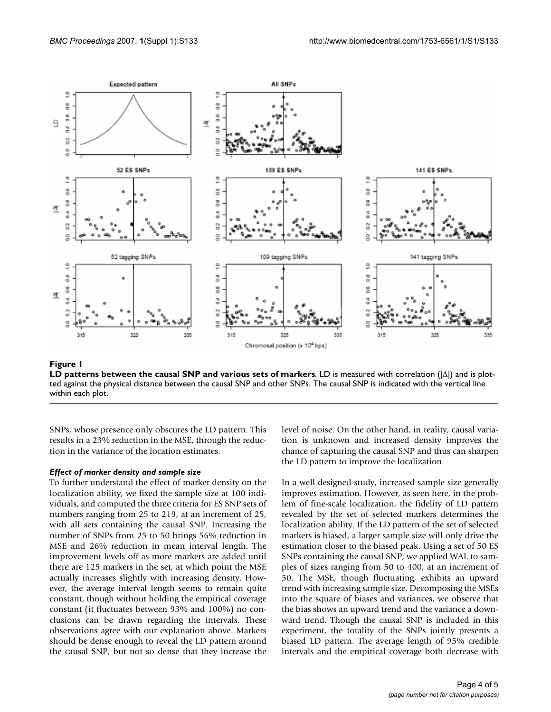

**Figure 1 LD patterns between the causal SNP and various sets of markers**. LD is measured with correlation (|Δ|) and is plotted against the physical distance between the causal SNP and other SNPs. The causal SNP is indicated with the vertical line within each plot.

SNPs, whose presence only obscures the LD pattern. This results in a 23% reduction in the MSE, through the reduction in the variance of the location estimates.

### *Effect of marker density and sample size*

To further understand the effect of marker density on the localization ability, we fixed the sample size at 100 individuals, and computed the three criteria for ES SNP sets of numbers ranging from 25 to 219, at an increment of 25, with all sets containing the causal SNP. Increasing the number of SNPs from 25 to 50 brings 56% reduction in MSE and 26% reduction in mean interval length. The improvement levels off as more markers are added until there are 125 markers in the set, at which point the MSE actually increases slightly with increasing density. However, the average interval length seems to remain quite constant, though without holding the empirical coverage constant (it fluctuates between 93% and 100%) no conclusions can be drawn regarding the intervals. These observations agree with our explanation above. Markers should be dense enough to reveal the LD pattern around the causal SNP, but not so dense that they increase the level of noise. On the other hand, in reality, causal variation is unknown and increased density improves the chance of capturing the causal SNP and thus can sharpen the LD pattern to improve the localization.

In a well designed study, increased sample size generally improves estimation. However, as seen here, in the problem of fine-scale localization, the fidelity of LD pattern revealed by the set of selected markers determines the localization ability. If the LD pattern of the set of selected markers is biased, a larger sample size will only drive the estimation closer to the biased peak. Using a set of 50 ES SNPs containing the causal SNP, we applied WAL to samples of sizes ranging from 50 to 400, at an increment of 50. The MSE, though fluctuating, exhibits an upward trend with increasing sample size. Decomposing the MSEs into the square of biases and variances, we observe that the bias shows an upward trend and the variance a downward trend. Though the causal SNP is included in this experiment, the totality of the SNPs jointly presents a biased LD pattern. The average length of 95% credible intervals and the empirical coverage both decrease with